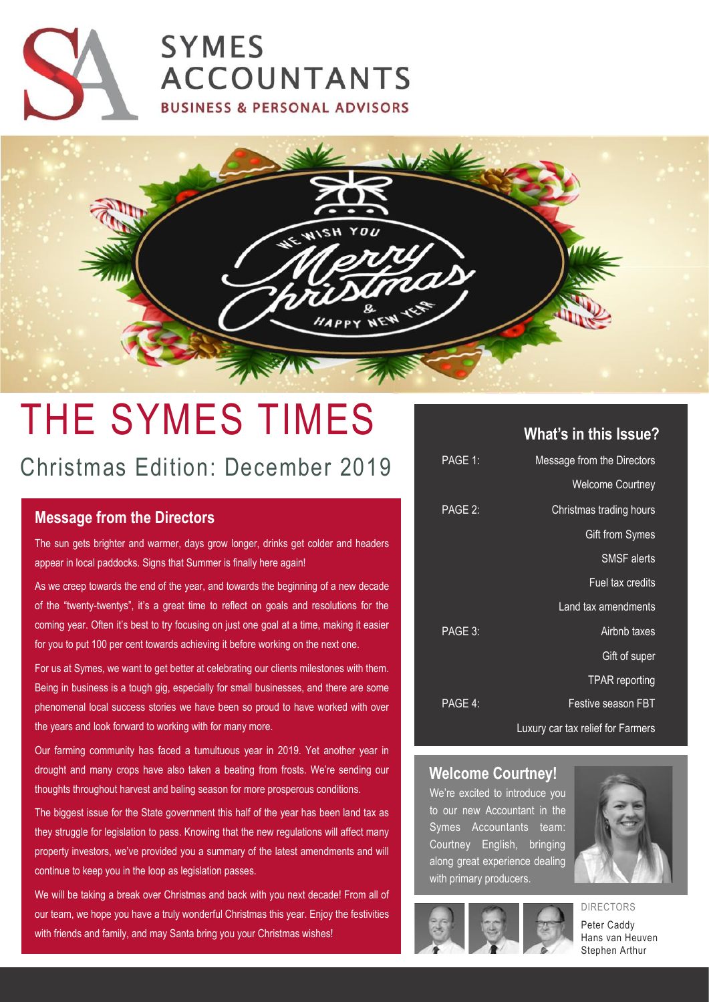



# THE SYMES TIMES

## Christmas Edition: December 2019

### **Message from the Directors**

The sun gets brighter and warmer, days grow longer, drinks get colder and headers appear in local paddocks. Signs that Summer is finally here again!

As we creep towards the end of the year, and towards the beginning of a new decade of the "twenty-twentys", it's a great time to reflect on goals and resolutions for the coming year. Often it's best to try focusing on just one goal at a time, making it easier for you to put 100 per cent towards achieving it before working on the next one.

For us at Symes, we want to get better at celebrating our clients milestones with them. Being in business is a tough gig, especially for small businesses, and there are some phenomenal local success stories we have been so proud to have worked with over the years and look forward to working with for many more.

Our farming community has faced a tumultuous year in 2019. Yet another year in drought and many crops have also taken a beating from frosts. We're sending our thoughts throughout harvest and baling season for more prosperous conditions.

The biggest issue for the State government this half of the year has been land tax as they struggle for legislation to pass. Knowing that the new regulations will affect many property investors, we've provided you a summary of the latest amendments and will continue to keep you in the loop as legislation passes.

We will be taking a break over Christmas and back with you next decade! From all of our team, we hope you have a truly wonderful Christmas this year. Enjoy the festivities with friends and family, and may Santa bring you your Christmas wishes!

#### **What's in this Issue?**

| PAGE 1: | Message from the Directors        |
|---------|-----------------------------------|
|         | <b>Welcome Courtney</b>           |
| PAGE 2: | Christmas trading hours           |
|         | Gift from Symes                   |
|         | <b>SMSF</b> alerts                |
|         | Fuel tax credits                  |
|         | Land tax amendments               |
| PAGE 3: | Airbnb taxes                      |
|         | Gift of super                     |
|         | <b>TPAR</b> reporting             |
| PAGE 4: | Festive season FBT                |
|         | Luxury car tax relief for Farmers |

#### **Welcome Courtney!**

We're excited to introduce you to our new Accountant in the Symes Accountants team: Courtney English, bringing along great experience dealing with primary producers.





Peter Caddy Hans van Heuven Stephen Arthur

DIRECTORS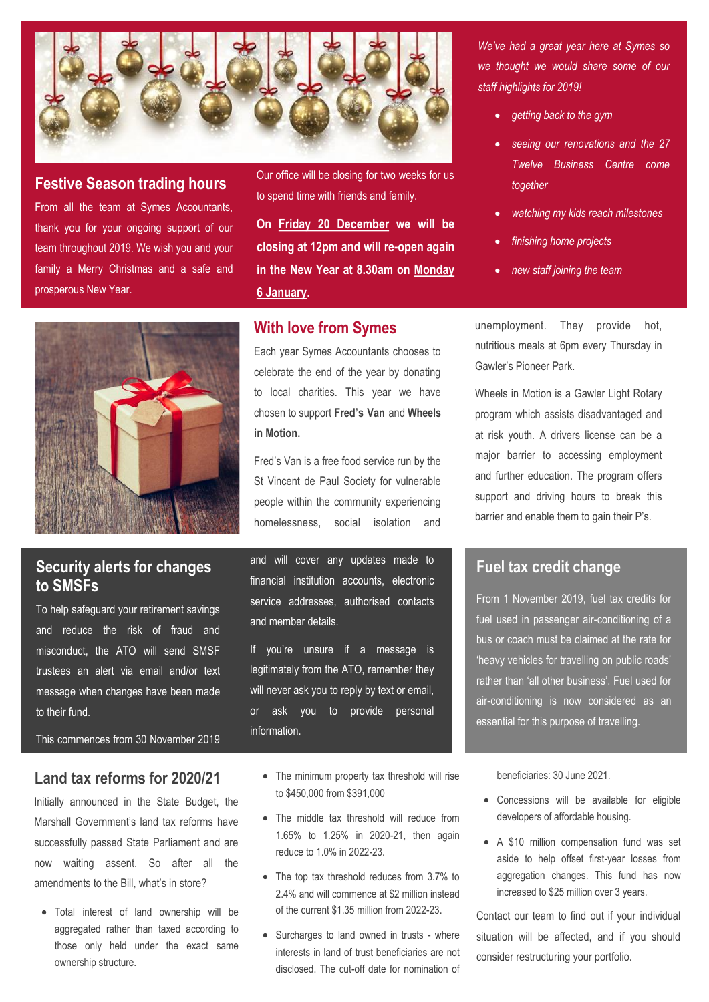

#### **Festive Season trading hours**

From all the team at Symes Accountants, thank you for your ongoing support of our team throughout 2019. We wish you and your family a Merry Christmas and a safe and prosperous New Year.

Our office will be closing for two weeks for us to spend time with friends and family.

**On Friday 20 December we will be closing at 12pm and will re-open again in the New Year at 8.30am on Monday 6 January.**

#### **With love from Symes**

Each year Symes Accountants chooses to celebrate the end of the year by donating to local charities. This year we have chosen to support **Fred's Van** and **Wheels in Motion.**

Fred's Van is a free food service run by the St Vincent de Paul Society for vulnerable people within the community experiencing homelessness, social isolation and

and will cover any updates made to financial institution accounts, electronic service addresses, authorised contacts and member details.

If you're unsure if a message is legitimately from the ATO, remember they will never ask you to reply by text or email, or ask you to provide personal information.

- The minimum property tax threshold will rise to \$450,000 from \$391,000
- The middle tax threshold will reduce from 1.65% to 1.25% in 2020-21, then again reduce to 1.0% in 2022-23.
- The top tax threshold reduces from 3.7% to 2.4% and will commence at \$2 million instead of the current \$1.35 million from 2022-23.
- Surcharges to land owned in trusts where interests in land of trust beneficiaries are not disclosed. The cut-off date for nomination of

*We've had a great year here at Symes so we thought we would share some of our staff highlights for 2019!*

- *getting back to the gym*
- *seeing our renovations and the 27 Twelve Business Centre come together*
- *watching my kids reach milestones*
- *finishing home projects*
- *new staff joining the team*

unemployment. They provide hot, nutritious meals at 6pm every Thursday in Gawler's Pioneer Park.

Wheels in Motion is a Gawler Light Rotary program which assists disadvantaged and at risk youth. A drivers license can be a major barrier to accessing employment and further education. The program offers support and driving hours to break this barrier and enable them to gain their P's.

#### **Fuel tax credit change**

From 1 November 2019, fuel tax credits for fuel used in passenger air-conditioning of a bus or coach must be claimed at the rate for 'heavy vehicles for travelling on public roads' rather than 'all other business'. Fuel used for air-conditioning is now considered as an essential for this purpose of travelling.

beneficiaries: 30 June 2021.

- Concessions will be available for eligible developers of affordable housing.
- A \$10 million compensation fund was set aside to help offset first-year losses from aggregation changes. This fund has now increased to \$25 million over 3 years.

Contact our team to find out if your individual situation will be affected, and if you should consider restructuring your portfolio.



## **Security alerts for changes to SMSFs**

To help safeguard your retirement savings and reduce the risk of fraud and misconduct, the ATO will send SMSF trustees an alert via email and/or text message when changes have been made to their fund.

This commences from 30 November 2019

## **Land tax reforms for 2020/21**

Initially announced in the State Budget, the Marshall Government's land tax reforms have successfully passed State Parliament and are now waiting assent. So after all the amendments to the Bill, what's in store?

• Total interest of land ownership will be aggregated rather than taxed according to those only held under the exact same ownership structure.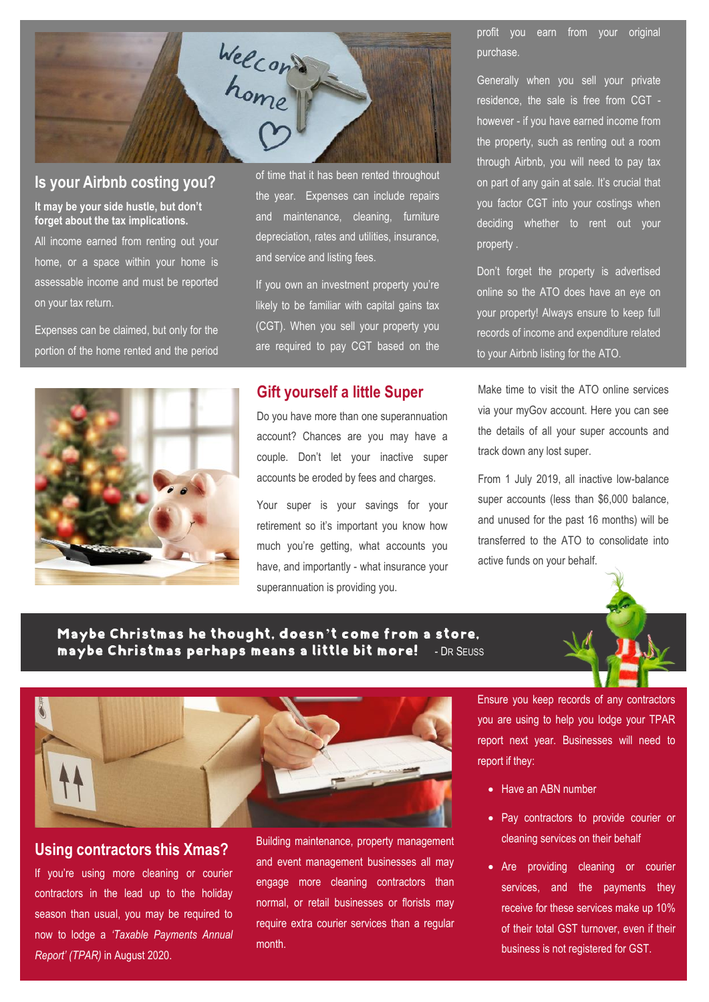

#### **Is your Airbnb costing you?**

**It may be your side hustle, but don't forget about the tax implications.** 

All income earned from renting out your home, or a space within your home is assessable income and must be reported on your tax return.

Expenses can be claimed, but only for the portion of the home rented and the period of time that it has been rented throughout the year. Expenses can include repairs and maintenance, cleaning, furniture depreciation, rates and utilities, insurance, and service and listing fees.

If you own an investment property you're likely to be familiar with capital gains tax (CGT). When you sell your property you are required to pay CGT based on the

#### **Gift yourself a little Super**

Do you have more than one superannuation account? Chances are you may have a couple. Don't let your inactive super accounts be eroded by fees and charges.

Your super is your savings for your retirement so it's important you know how much you're getting, what accounts you have, and importantly - what insurance your superannuation is providing you.

profit you earn from your original purchase.

Generally when you sell your private residence, the sale is free from CGT however - if you have earned income from the property, such as renting out a room through Airbnb, you will need to pay tax on part of any gain at sale. It's crucial that you factor CGT into your costings when deciding whether to rent out your property .

Don't forget the property is advertised online so the ATO does have an eye on your property! Always ensure to keep full records of income and expenditure related to your Airbnb listing for the ATO.

Make time to visit the ATO online services via your myGov account. Here you can see the details of all your super accounts and track down any lost super.

From 1 July 2019, all inactive low-balance super accounts (less than \$6,000 balance, and unused for the past 16 months) will be transferred to the ATO to consolidate into active funds on your behalf.

#### Maybe Christmas he thought, doesn**'**t come from a store, maybe Christmas perhaps means a little bit more! - D<sup>R</sup> SEUSS





#### **Using contractors this Xmas?**

If you're using more cleaning or courier contractors in the lead up to the holiday season than usual, you may be required to now to lodge a *'Taxable Payments Annual Report' (TPAR)* in August 2020.

Building maintenance, property management and event management businesses all may engage more cleaning contractors than normal, or retail businesses or florists may require extra courier services than a regular month.

Ensure you keep records of any contractors you are using to help you lodge your TPAR report next year. Businesses will need to report if they:

- Have an ABN number
- Pay contractors to provide courier or cleaning services on their behalf
- Are providing cleaning or courier services, and the payments they receive for these services make up 10% of their total GST turnover, even if their business is not registered for GST.